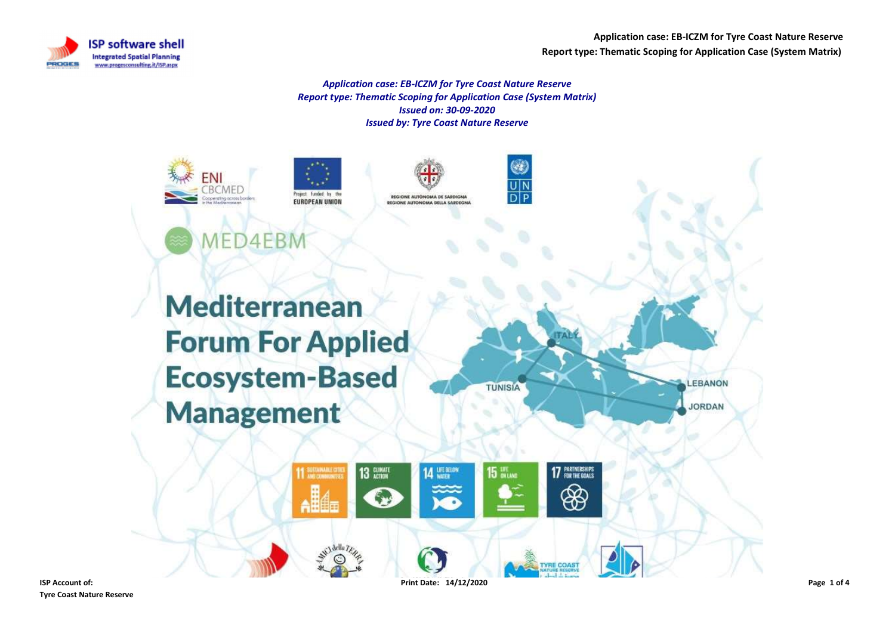Application case: EB-ICZM for Tyre Coast Nature Reserve Report type: Thematic Scoping for Application Case (System Matrix)



Application case: EB-ICZM for Tyre Coast Nature Reserve Report type: Thematic Scoping for Application Case (System Matrix) Issued on: 30-09-2020 Issued by: Tyre Coast Nature Reserve



MED4EBM







**Mediterranean Forum For Applied Ecosystem-Based Management** 

11 SOSTAINABLE CH

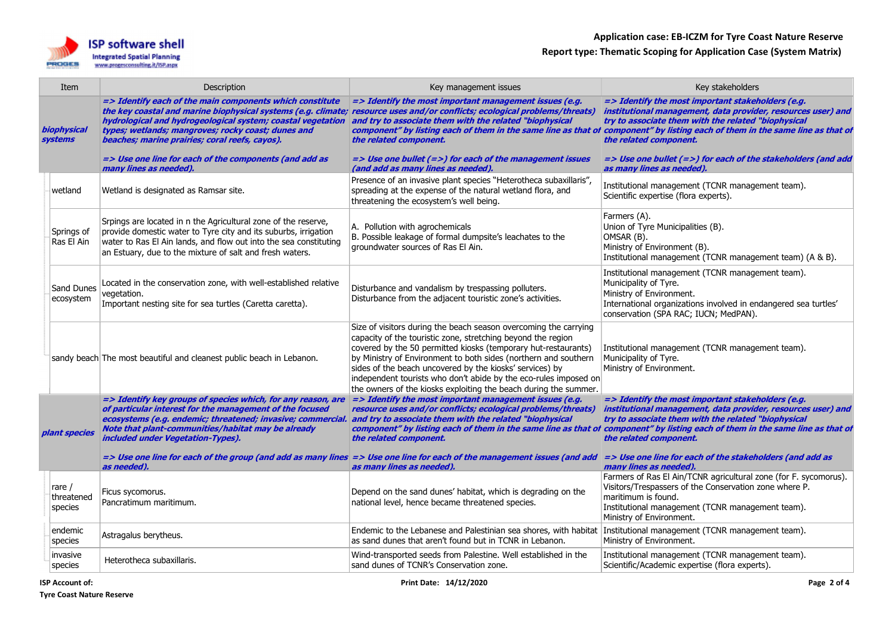## Application case: EB-ICZM for Tyre Coast Nature Reserve Report type: Thematic Scoping for Application Case (System Matrix)



| Item                          |                                   | Description                                                                                                                                                                                                                                                                                      | Key management issues                                                                                                                                                                                                                                                                                                                                                                                                                                                     | Key stakeholders                                                                                                                                                                                                                                                                                                                    |
|-------------------------------|-----------------------------------|--------------------------------------------------------------------------------------------------------------------------------------------------------------------------------------------------------------------------------------------------------------------------------------------------|---------------------------------------------------------------------------------------------------------------------------------------------------------------------------------------------------------------------------------------------------------------------------------------------------------------------------------------------------------------------------------------------------------------------------------------------------------------------------|-------------------------------------------------------------------------------------------------------------------------------------------------------------------------------------------------------------------------------------------------------------------------------------------------------------------------------------|
| biophysical<br><b>systems</b> |                                   | => Identify each of the main components which constitute<br>the key coastal and marine biophysical systems (e.g. climate;<br>hydrological and hydrogeological system; coastal vegetation<br>types; wetlands; mangroves; rocky coast; dunes and<br>beaches; marine prairies; coral reefs, cayos). | $\Rightarrow$ Identify the most important management issues (e.g.<br>resource uses and/or conflicts; ecological problems/threats)<br>and try to associate them with the related "biophysical<br>the related component.                                                                                                                                                                                                                                                    | => Identify the most important stakeholders (e.g.<br>institutional management, data provider, resources user) and<br>try to associate them with the related "biophysical<br>component" by listing each of them in the same line as that of component" by listing each of them in the same line as that of<br>the related component. |
|                               |                                   | => Use one line for each of the components (and add as<br>many lines as needed).                                                                                                                                                                                                                 | => Use one bullet (=>) for each of the management issues<br>(and add as many lines as needed).                                                                                                                                                                                                                                                                                                                                                                            | => Use one bullet (=>) for each of the stakeholders (and add<br>as many lines as needed).                                                                                                                                                                                                                                           |
|                               | wetland                           | Wetland is designated as Ramsar site.                                                                                                                                                                                                                                                            | Presence of an invasive plant species "Heterotheca subaxillaris",<br>spreading at the expense of the natural wetland flora, and<br>threatening the ecosystem's well being.                                                                                                                                                                                                                                                                                                | Institutional management (TCNR management team).<br>Scientific expertise (flora experts).                                                                                                                                                                                                                                           |
|                               | Springs of<br>Ras El Ain          | Srpings are located in n the Agricultural zone of the reserve,<br>provide domestic water to Tyre city and its suburbs, irrigation<br>water to Ras El Ain lands, and flow out into the sea constituting<br>an Estuary, due to the mixture of salt and fresh waters.                               | A. Pollution with agrochemicals<br>B. Possible leakage of formal dumpsite's leachates to the<br>groundwater sources of Ras El Ain.                                                                                                                                                                                                                                                                                                                                        | Farmers (A).<br>Union of Tyre Municipalities (B).<br>OMSAR (B).<br>Ministry of Environment (B).<br>Institutional management (TCNR management team) (A & B).                                                                                                                                                                         |
|                               | Sand Dunes<br>ecosystem           | Located in the conservation zone, with well-established relative<br>vegetation.<br>Important nesting site for sea turtles (Caretta caretta).                                                                                                                                                     | Disturbance and vandalism by trespassing polluters.<br>Disturbance from the adjacent touristic zone's activities.                                                                                                                                                                                                                                                                                                                                                         | Institutional management (TCNR management team).<br>Municipality of Tyre.<br>Ministry of Environment.<br>International organizations involved in endangered sea turtles'<br>conservation (SPA RAC; IUCN; MedPAN).                                                                                                                   |
|                               |                                   | sandy beach The most beautiful and cleanest public beach in Lebanon.                                                                                                                                                                                                                             | Size of visitors during the beach season overcoming the carrying<br>capacity of the touristic zone, stretching beyond the region<br>covered by the 50 permitted kiosks (temporary hut-restaurants)<br>by Ministry of Environment to both sides (northern and southern<br>sides of the beach uncovered by the kiosks' services) by<br>independent tourists who don't abide by the eco-rules imposed on<br>the owners of the kiosks exploiting the beach during the summer. | Institutional management (TCNR management team).<br>Municipality of Tyre.<br>Ministry of Environment.                                                                                                                                                                                                                               |
|                               | plant species                     | => Identify key groups of species which, for any reason, are<br>of particular interest for the management of the focused<br>ecosystems (e.g. endemic; threatened; invasive; commercial.<br>Note that plant-communities/habitat may be already<br>included under Vegetation-Types).               | => Identify the most important management issues (e.g.<br>resource uses and/or conflicts; ecological problems/threats)<br>and try to associate them with the related "biophysical<br>component" by listing each of them in the same line as that of component" by listing each of them in the same line as that of<br>the related component.                                                                                                                              | => Identify the most important stakeholders (e.g.<br>institutional management, data provider, resources user) and<br>try to associate them with the related "biophysical<br>the related component.                                                                                                                                  |
|                               |                                   | as needed).                                                                                                                                                                                                                                                                                      | => Use one line for each of the group (and add as many lines => Use one line for each of the management issues (and add<br>as many lines as needed).                                                                                                                                                                                                                                                                                                                      | $\ket{=>}$ Use one line for each of the stakeholders (and add as<br>many lines as needed).                                                                                                                                                                                                                                          |
|                               | rare $/$<br>threatened<br>species | Ficus sycomorus.<br>Pancratimum maritimum.                                                                                                                                                                                                                                                       | Depend on the sand dunes' habitat, which is degrading on the<br>national level, hence became threatened species.                                                                                                                                                                                                                                                                                                                                                          | Farmers of Ras El Ain/TCNR agricultural zone (for F. sycomorus).<br>Visitors/Trespassers of the Conservation zone where P.<br>maritimum is found.<br>Institutional management (TCNR management team).<br>Ministry of Environment.                                                                                                   |
|                               | endemic<br>species                | Astragalus berytheus.                                                                                                                                                                                                                                                                            | Endemic to the Lebanese and Palestinian sea shores, with habitat Institutional management (TCNR management team).<br>as sand dunes that aren't found but in TCNR in Lebanon.                                                                                                                                                                                                                                                                                              | Ministry of Environment.                                                                                                                                                                                                                                                                                                            |
|                               | invasive<br>species               | Heterotheca subaxillaris.                                                                                                                                                                                                                                                                        | Wind-transported seeds from Palestine. Well established in the<br>sand dunes of TCNR's Conservation zone.                                                                                                                                                                                                                                                                                                                                                                 | Institutional management (TCNR management team).<br>Scientific/Academic expertise (flora experts).                                                                                                                                                                                                                                  |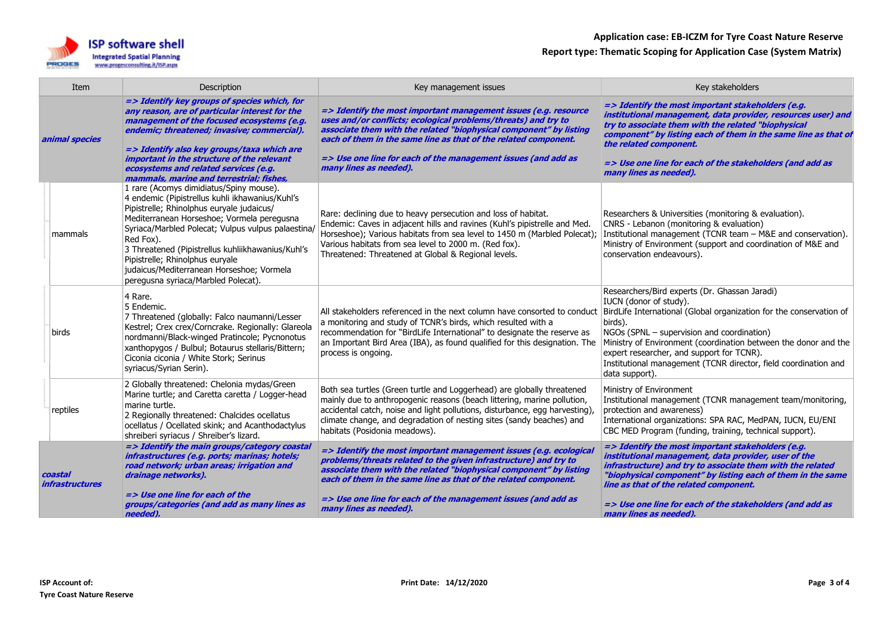



|  | Item                              | Description                                                                                                                                                                                                                                                                                                                                                                                                                                                                      | Key management issues                                                                                                                                                                                                                                                                                                                                                     | Key stakeholders                                                                                                                                                                                                                                                                                                                                                                                             |
|--|-----------------------------------|----------------------------------------------------------------------------------------------------------------------------------------------------------------------------------------------------------------------------------------------------------------------------------------------------------------------------------------------------------------------------------------------------------------------------------------------------------------------------------|---------------------------------------------------------------------------------------------------------------------------------------------------------------------------------------------------------------------------------------------------------------------------------------------------------------------------------------------------------------------------|--------------------------------------------------------------------------------------------------------------------------------------------------------------------------------------------------------------------------------------------------------------------------------------------------------------------------------------------------------------------------------------------------------------|
|  | animal species                    | => Identify key groups of species which, for<br>any reason, are of particular interest for the<br>management of the focused ecosystems (e.g.<br>endemic; threatened; invasive; commercial).<br>=> Identify also key groups/taxa which are<br>important in the structure of the relevant<br>ecosystems and related services (e.g.                                                                                                                                                 | => Identify the most important management issues (e.g. resource<br>uses and/or conflicts; ecological problems/threats) and try to<br>associate them with the related "biophysical component" by listing<br>each of them in the same line as that of the related component.<br>=> Use one line for each of the management issues (and add as<br>many lines as needed).     | => Identify the most important stakeholders (e.g.<br>institutional management, data provider, resources user) and<br>try to associate them with the related "biophysical<br>component" by listing each of them in the same line as that of<br>the related component.<br>=> Use one line for each of the stakeholders (and add as<br>many lines as needed).                                                   |
|  | mammals                           | mammals, marine and terrestrial; fishes,<br>1 rare (Acomys dimidiatus/Spiny mouse).<br>4 endemic (Pipistrellus kuhli ikhawanius/Kuhl's<br>Pipistrelle; Rhinolphus euryale judaicus/<br>Mediterranean Horseshoe; Vormela peregusna<br>Syriaca/Marbled Polecat; Vulpus vulpus palaestina/<br>Red Fox).<br>3 Threatened (Pipistrellus kuhliikhawanius/Kuhl's<br>Pipistrelle; Rhinolphus euryale<br>judaicus/Mediterranean Horseshoe; Vormela<br>peregusna syriaca/Marbled Polecat). | Rare: declining due to heavy persecution and loss of habitat.<br>Endemic: Caves in adjacent hills and ravines (Kuhl's pipistrelle and Med.<br>Horseshoe); Various habitats from sea level to 1450 m (Marbled Polecat);<br>Various habitats from sea level to 2000 m. (Red fox).<br>Threatened: Threatened at Global & Regional levels.                                    | Researchers & Universities (monitoring & evaluation).<br>CNRS - Lebanon (monitoring & evaluation)<br>Institutional management (TCNR team - M&E and conservation).<br>Ministry of Environment (support and coordination of M&E and<br>conservation endeavours).                                                                                                                                               |
|  | birds                             | 4 Rare.<br>5 Endemic.<br>7 Threatened (globally: Falco naumanni/Lesser<br>Kestrel; Crex crex/Corncrake. Regionally: Glareola<br>nordmanni/Black-winged Pratincole; Pycnonotus<br>xanthopygos / Bulbul; Botaurus stellaris/Bittern;<br>Ciconia ciconia / White Stork; Serinus<br>syriacus/Syrian Serin).                                                                                                                                                                          | All stakeholders referenced in the next column have consorted to conduct<br>a monitoring and study of TCNR's birds, which resulted with a<br>recommendation for "BirdLife International" to designate the reserve as<br>an Important Bird Area (IBA), as found qualified for this designation. The<br>process is ongoing.                                                 | Researchers/Bird experts (Dr. Ghassan Jaradi)<br>IUCN (donor of study).<br>BirdLife International (Global organization for the conservation of<br>birds).<br>NGOs (SPNL – supervision and coordination)<br>Ministry of Environment (coordination between the donor and the<br>expert researcher, and support for TCNR).<br>Institutional management (TCNR director, field coordination and<br>data support). |
|  | reptiles                          | 2 Globally threatened: Chelonia mydas/Green<br>Marine turtle; and Caretta caretta / Logger-head<br>marine turtle.<br>2 Regionally threatened: Chalcides ocellatus<br>ocellatus / Ocellated skink; and Acanthodactylus<br>shreiberi syriacus / Shreiber's lizard.                                                                                                                                                                                                                 | Both sea turtles (Green turtle and Loggerhead) are globally threatened<br>mainly due to anthropogenic reasons (beach littering, marine pollution,<br>accidental catch, noise and light pollutions, disturbance, egg harvesting),<br>climate change, and degradation of nesting sites (sandy beaches) and<br>habitats (Posidonia meadows).                                 | Ministry of Environment<br>Institutional management (TCNR management team/monitoring,<br>protection and awareness)<br>International organizations: SPA RAC, MedPAN, IUCN, EU/ENI<br>CBC MED Program (funding, training, technical support).                                                                                                                                                                  |
|  | coastal<br><i>infrastructures</i> | => Identify the main groups/category coastal<br>infrastructures (e.g. ports; marinas; hotels;<br>road network; urban areas; irrigation and<br>drainage networks).<br>=> Use one line for each of the<br>groups/categories (and add as many lines as<br>needed),                                                                                                                                                                                                                  | => Identify the most important management issues (e.g. ecological<br>problems/threats related to the given infrastructure) and try to<br>associate them with the related "biophysical component" by listing<br>each of them in the same line as that of the related component.<br>=> Use one line for each of the management issues (and add as<br>many lines as needed). | => Identify the most important stakeholders (e.g.<br>institutional management, data provider, user of the<br>infrastructure) and try to associate them with the related<br>"biophysical component" by listing each of them in the same<br>line as that of the related component.<br>=> Use one line for each of the stakeholders (and add as<br>many lines as needed).                                       |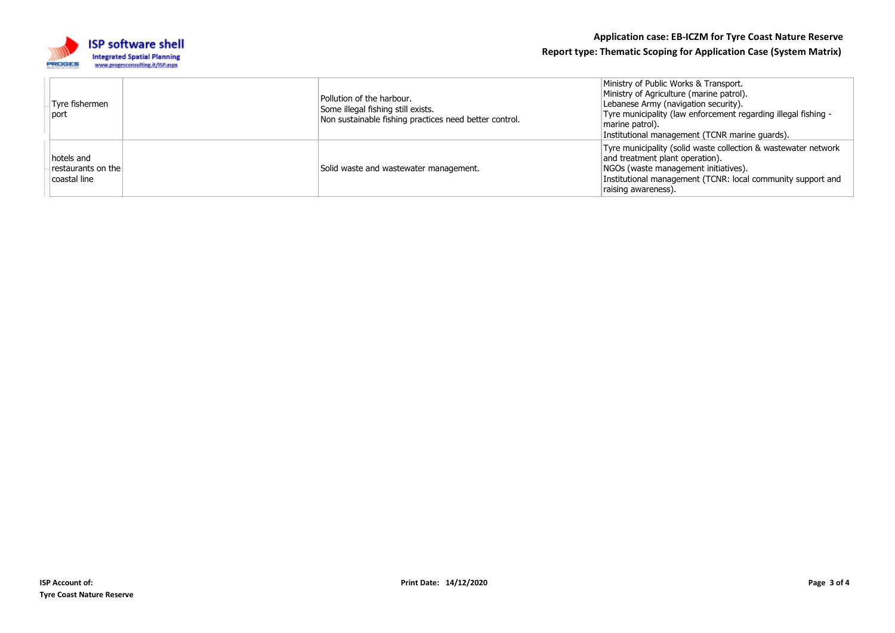

| Tyre fishermen<br>port                           | Pollution of the harbour.<br>Some illegal fishing still exists.<br>Non sustainable fishing practices need better control. | Ministry of Public Works & Transport.<br>Ministry of Agriculture (marine patrol).<br>Lebanese Army (navigation security).<br>Tyre municipality (law enforcement regarding illegal fishing -<br>marine patrol).<br>Institutional management (TCNR marine guards). |
|--------------------------------------------------|---------------------------------------------------------------------------------------------------------------------------|------------------------------------------------------------------------------------------------------------------------------------------------------------------------------------------------------------------------------------------------------------------|
| hotels and<br>restaurants on the<br>coastal line | Solid waste and wastewater management.                                                                                    | Tyre municipality (solid waste collection & wastewater network<br>and treatment plant operation).<br>NGOs (waste management initiatives).<br>Institutional management (TCNR: local community support and<br>raising awareness).                                  |